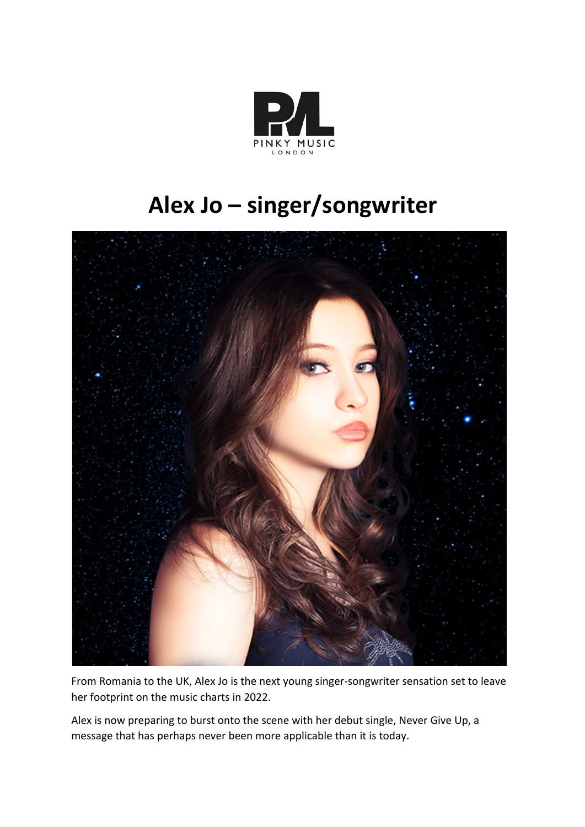

## **Alex Jo – singer/songwriter**



From Romania to the UK, Alex Jo is the next young singer-songwriter sensation set to leave her footprint on the music charts in 2022.

Alex is now preparing to burst onto the scene with her debut single, Never Give Up, a message that has perhaps never been more applicable than it is today.